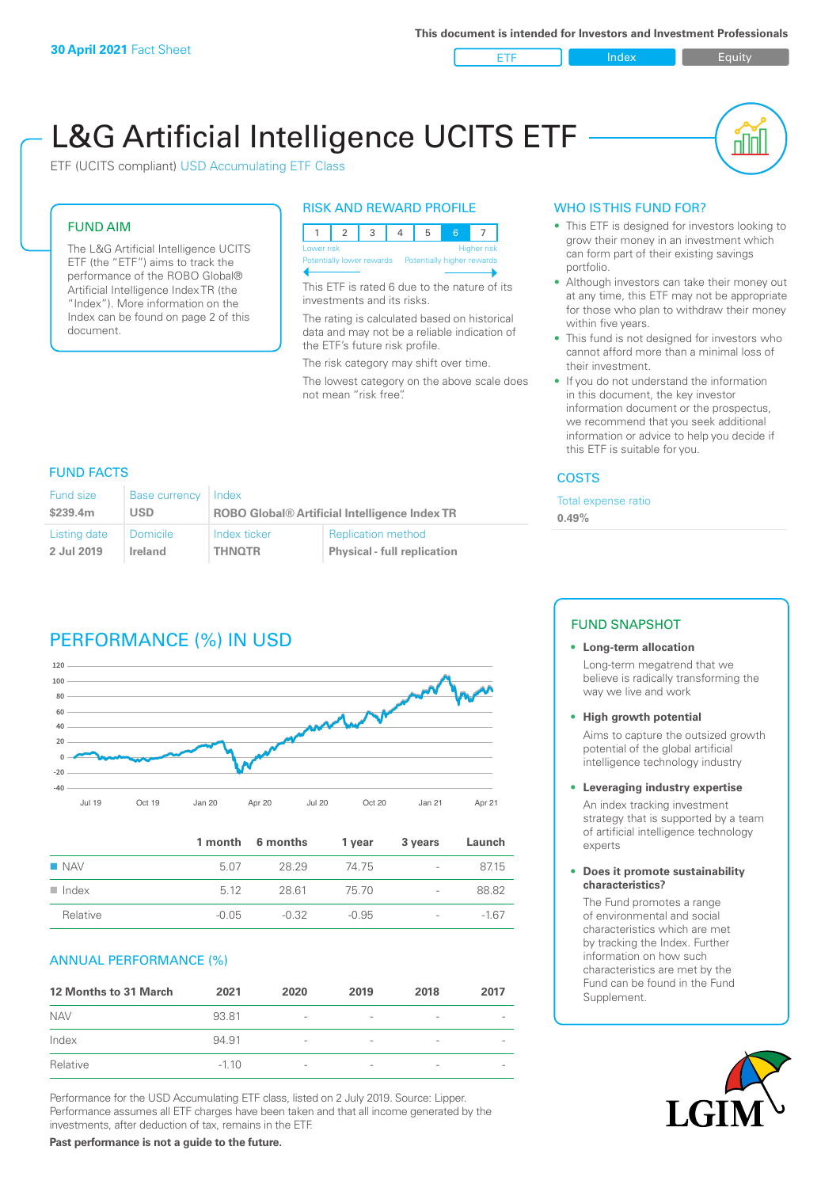

nl Inl

# L&G Artificial Intelligence UCITS ETF

ETF (UCITS compliant) USD Accumulating ETF Class

#### FUND AIM

The L&G Artificial Intelligence UCITS ETF (the "ETF") aims to track the performance of the ROBO Global® Artificial Intelligence Index TR (the "Index"). More information on the Index can be found on page 2 of this document.

#### RISK AND REWARD PROFILE



This ETF is rated 6 due to the nature of its investments and its risks.

The rating is calculated based on historical data and may not be a reliable indication of the ETF's future risk profile.

The risk category may shift over time.

The lowest category on the above scale does not mean "risk free".

#### WHO IS THIS FUND FOR?

- This ETF is designed for investors looking to grow their money in an investment which can form part of their existing savings portfolio.
- Although investors can take their money out at any time, this ETF may not be appropriate for those who plan to withdraw their money within five years.
- This fund is not designed for investors who cannot afford more than a minimal loss of their investment.
- If you do not understand the information in this document, the key investor information document or the prospectus, we recommend that you seek additional information or advice to help you decide if this ETF is suitable for you.

#### **COSTS**

Total expense ratio

**0.49%**

## FUND FACTS

| <b>Fund size</b> | Base currency   | Index                                                |                                    |
|------------------|-----------------|------------------------------------------------------|------------------------------------|
| \$239.4m         | USD             | <b>ROBO Global® Artificial Intelligence Index TR</b> |                                    |
| Listing date     | <b>Domicile</b> | Index ticker                                         | <b>Replication method</b>          |
| 2 Jul 2019       | Ireland         | <b>THNOTR</b>                                        | <b>Physical - full replication</b> |

# PERFORMANCE (%) IN USD



|                      |         | 1 month 6 months | 1 year  | 3 years                  | Launch |
|----------------------|---------|------------------|---------|--------------------------|--------|
| $\blacksquare$ NAV   | 5.07    | 28.29            | -74 75  | $\overline{\phantom{a}}$ | 87.15  |
| $\blacksquare$ Index | 5 1 2   | 28.61            | 75 70   | $\overline{\phantom{a}}$ | 88.82  |
| Relative             | $-0.05$ | -0.32            | $-0.95$ | $\overline{\phantom{a}}$ | $-167$ |

#### ANNUAL PERFORMANCE (%)

| <b>12 Months to 31 March</b> | 2021    | 2020                     | 2019                     | 2018                     | 2017 |
|------------------------------|---------|--------------------------|--------------------------|--------------------------|------|
| <b>NAV</b>                   | 93.81   | $\overline{\phantom{a}}$ |                          |                          |      |
| Index                        | 94.91   | $\overline{\phantom{a}}$ | $\overline{\phantom{a}}$ | $\qquad \qquad$          |      |
| Relative                     | $-1.10$ | $\overline{\phantom{a}}$ | $\overline{\phantom{a}}$ | $\overline{\phantom{a}}$ |      |

Performance for the USD Accumulating ETF class, listed on 2 July 2019. Source: Lipper. Performance assumes all ETF charges have been taken and that all income generated by the investments, after deduction of tax, remains in the ETF.

## FUND SNAPSHOT

#### **• Long-term allocation** Long-term megatrend that we believe is radically transforming the

way we live and work

**• High growth potential**

Aims to capture the outsized growth potential of the global artificial intelligence technology industry

#### **• Leveraging industry expertise**

An index tracking investment strategy that is supported by a team of artificial intelligence technology experts

#### **• Does it promote sustainability characteristics?**

The Fund promotes a range of environmental and social characteristics which are met by tracking the Index. Further information on how such characteristics are met by the Fund can be found in the Fund Supplement.



**Past performance is not a guide to the future.**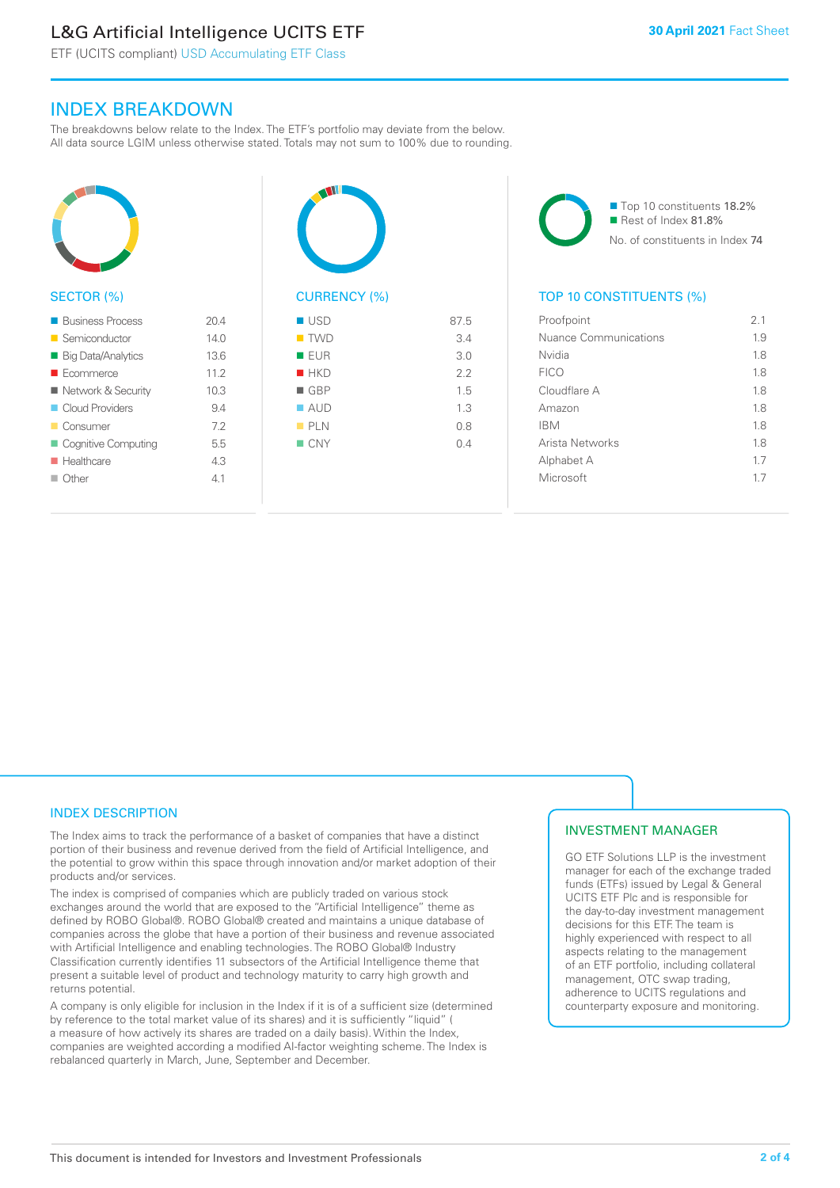# L&G Artificial Intelligence UCITS ETF

ETF (UCITS compliant) USD Accumulating ETF Class

# INDEX BREAKDOWN

The breakdowns below relate to the Index. The ETF's portfolio may deviate from the below. All data source LGIM unless otherwise stated. Totals may not sum to 100% due to rounding.



#### SECTOR (%)

| <b>Business Process</b>  | 204  |
|--------------------------|------|
| ■ Semiconductor          | 14.0 |
| ■ Big Data/Analytics     | 13.6 |
| $\blacksquare$ Ecommerce | 11.2 |
| ■ Network & Security     | 10.3 |
| Cloud Providers          | 94   |
| ■ Consumer               | 72   |
| Cognitive Computing      | 5.5  |
| <b>Healthcare</b>        | 43   |
| $\Box$ Other             | 41   |
|                          |      |



| $\blacksquare$ TWD | 3.4 |
|--------------------|-----|
| <b>EUR</b>         | 3.0 |
| HKD                | 2.2 |
| $\blacksquare$ GBP | 1.5 |
| $\blacksquare$ AUD | 1.3 |
| PLN                | 0.8 |
| CNY                | 0.4 |
|                    |     |
|                    |     |

■ Top 10 constituents 18.2% Rest of Index 81.8% No. of constituents in Index 74

## TOP 10 CONSTITUENTS (%)

| Proofpoint            | 21  |
|-----------------------|-----|
| Nuance Communications | 1.9 |
| Nvidia                | 1.8 |
| <b>FICO</b>           | 1.8 |
| Cloudflare A          | 18  |
| Amazon                | 1.8 |
| <b>IBM</b>            | 1.8 |
| Arista Networks       | 1.8 |
| Alphabet A            | 1.7 |
| Microsoft             | 17  |
|                       |     |

#### INDEX DESCRIPTION

The Index aims to track the performance of a basket of companies that have a distinct portion of their business and revenue derived from the field of Artificial Intelligence, and the potential to grow within this space through innovation and/or market adoption of their products and/or services.

The index is comprised of companies which are publicly traded on various stock exchanges around the world that are exposed to the "Artificial Intelligence" theme as defined by ROBO Global®. ROBO Global® created and maintains a unique database of companies across the globe that have a portion of their business and revenue associated with Artificial Intelligence and enabling technologies. The ROBO Global® Industry Classification currently identifies 11 subsectors of the Artificial Intelligence theme that present a suitable level of product and technology maturity to carry high growth and returns potential.

A company is only eligible for inclusion in the Index if it is of a sufficient size (determined by reference to the total market value of its shares) and it is sufficiently "liquid" ( a measure of how actively its shares are traded on a daily basis). Within the Index, companies are weighted according a modified AI-factor weighting scheme. The Index is rebalanced quarterly in March, June, September and December.

## INVESTMENT MANAGER

GO ETF Solutions LLP is the investment manager for each of the exchange traded funds (ETFs) issued by Legal & General UCITS ETF Plc and is responsible for the day-to-day investment management decisions for this ETF. The team is highly experienced with respect to all aspects relating to the management of an ETF portfolio, including collateral management, OTC swap trading, adherence to UCITS regulations and counterparty exposure and monitoring.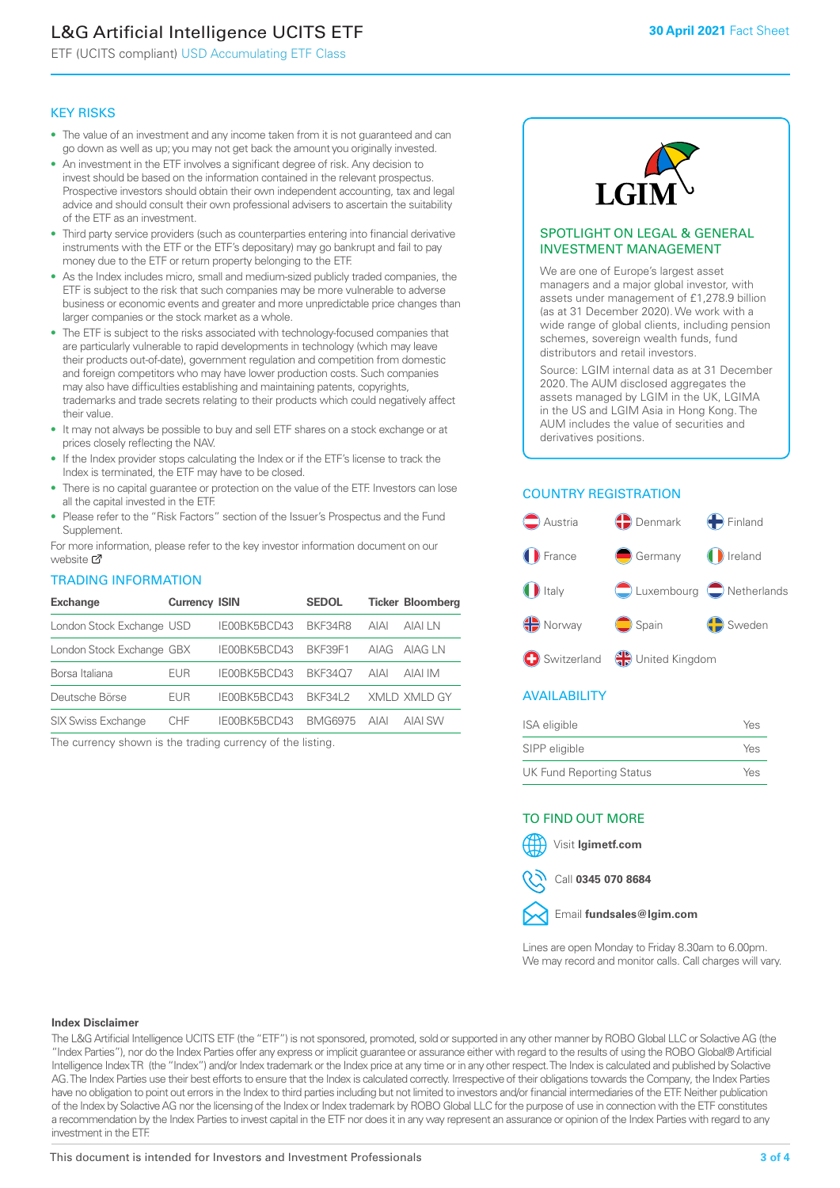# L&G Artificial Intelligence UCITS ETF

ETF (UCITS compliant) USD Accumulating ETF Class

#### KEY RISKS

- The value of an investment and any income taken from it is not guaranteed and can go down as well as up; you may not get back the amount you originally invested.
- An investment in the ETF involves a significant degree of risk. Any decision to invest should be based on the information contained in the relevant prospectus. Prospective investors should obtain their own independent accounting, tax and legal advice and should consult their own professional advisers to ascertain the suitability of the ETF as an investment.
- Third party service providers (such as counterparties entering into financial derivative instruments with the ETF or the ETF's depositary) may go bankrupt and fail to pay money due to the ETF or return property belonging to the ETF.
- As the Index includes micro, small and medium-sized publicly traded companies, the ETF is subject to the risk that such companies may be more vulnerable to adverse business or economic events and greater and more unpredictable price changes than larger companies or the stock market as a whole.
- The ETF is subject to the risks associated with technology-focused companies that are particularly vulnerable to rapid developments in technology (which may leave their products out-of-date), government regulation and competition from domestic and foreign competitors who may have lower production costs. Such companies may also have difficulties establishing and maintaining patents, copyrights, trademarks and trade secrets relating to their products which could negatively affect their value.
- It may not always be possible to buy and sell ETF shares on a stock exchange or at prices closely reflecting the NAV.
- If the Index provider stops calculating the Index or if the ETF's license to track the Index is terminated, the ETF may have to be closed.
- There is no capital guarantee or protection on the value of the ETF. Investors can lose all the capital invested in the ETF.
- Please refer to the "Risk Factors" section of the Issuer's Prospectus and the Fund Supplement.

For mo[re inf](https://www.lgimetf.com/)ormation, please refer to the key investor information document on our website Ø

#### TRADING INFORMATION

| <b>Exchange</b>           | <b>Currency ISIN</b> |              | <b>SEDOL</b>   |             | <b>Ticker Bloomberg</b> |
|---------------------------|----------------------|--------------|----------------|-------------|-------------------------|
| London Stock Exchange USD |                      | IE00BK5BCD43 | BKF34R8        | <b>AIAI</b> | AIAI LN                 |
| London Stock Exchange GBX |                      | IE00BK5BCD43 | BKF39F1        | AIAG        | AIAG LN                 |
| Borsa Italiana            | EUR                  | IE00BK5BCD43 | <b>BKF3407</b> | <b>AIAI</b> | AIAI IM                 |
| Deutsche Börse            | EUR                  | IE00BK5BCD43 | <b>BKF34L2</b> |             | XMLD XMLD GY            |
| <b>SIX Swiss Exchange</b> | <b>CHF</b>           | IE00BK5BCD43 | <b>BMG6975</b> | <b>AIAI</b> | <b>AIAI SW</b>          |

The currency shown is the trading currency of the listing.



#### SPOTLIGHT ON LEGAL & GENERAL INVESTMENT MANAGEMENT

We are one of Europe's largest asset managers and a major global investor, with assets under management of £1,278.9 billion (as at 31 December 2020). We work with a wide range of global clients, including pension schemes, sovereign wealth funds, fund distributors and retail investors.

Source: LGIM internal data as at 31 December 2020. The AUM disclosed aggregates the assets managed by LGIM in the UK, LGIMA in the US and LGIM Asia in Hong Kong. The AUM includes the value of securities and derivatives positions.

## COUNTRY REGISTRATION



## AVAILABILITY

| ISA eligible                    | Yes |
|---------------------------------|-----|
| SIPP eligible                   | Yes |
| <b>UK Fund Reporting Status</b> | Yes |

#### TO FIND OUT MORE

Visit **lgimetf.com**



Call **0345 070 8684**



Lines are open Monday to Friday 8.30am to 6.00pm. We may record and monitor calls. Call charges will vary.

#### **Index Disclaimer**

The L&G Artificial Intelligence UCITS ETF (the "ETF") is not sponsored, promoted, sold or supported in any other manner by ROBO Global LLC or Solactive AG (the "Index Parties"), nor do the Index Parties offer any express or implicit guarantee or assurance either with regard to the results of using the ROBO Global® Artificial Intelligence Index TR (the "Index") and/or Index trademark or the Index price at any time or in any other respect. The Index is calculated and published by Solactive AG. The Index Parties use their best efforts to ensure that the Index is calculated correctly. Irrespective of their obligations towards the Company, the Index Parties have no obligation to point out errors in the Index to third parties including but not limited to investors and/or financial intermediaries of the ETF. Neither publication of the Index by Solactive AG nor the licensing of the Index or Index trademark by ROBO Global LLC for the purpose of use in connection with the ETF constitutes a recommendation by the Index Parties to invest capital in the ETF nor does it in any way represent an assurance or opinion of the Index Parties with regard to any investment in the ETF.